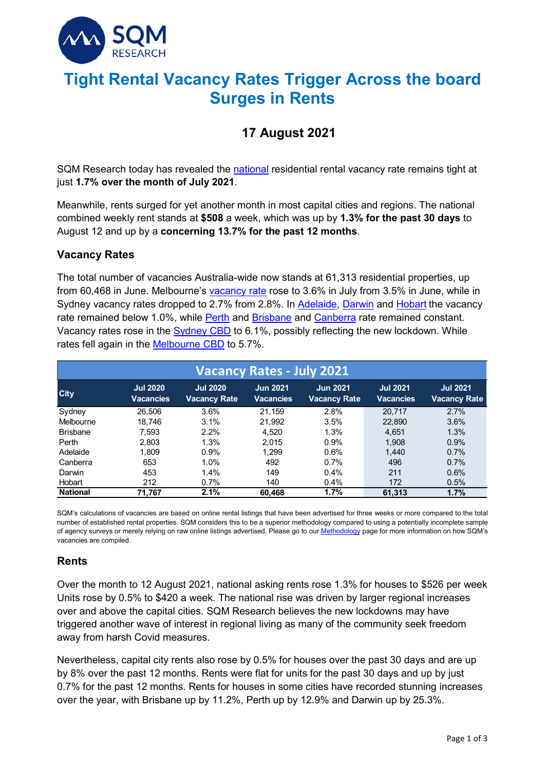

# **Tight Rental Vacancy Rates Trigger Across the board Surges in Rents**

## **17 August 2021**

SQM Research today has revealed the [national](https://sqmresearch.com.au/graph_vacancy.php?national=1&t=1) residential rental vacancy rate remains tight at just **1.7% over the month of July 2021**.

Meanwhile, rents surged for yet another month in most capital cities and regions. The national combined weekly rent stands at **\$508** a week, which was up by **1.3% for the past 30 days** to August 12 and up by a **concerning 13.7% for the past 12 months**.

#### **Vacancy Rates**

The total number of vacancies Australia-wide now stands at 61,313 residential properties, up from 60,468 in June. Melbourne's [vacancy rate](https://sqmresearch.com.au/graph_vacancy.php?region=vic%3A%3AMelbourne&type=c&t=1) rose to 3.6% in July from 3.5% in June, while in Sydney vacancy rates dropped to 2.7% from 2.8%. In [Adelaide,](https://sqmresearch.com.au/graph_vacancy.php?region=sa%3A%3AAdelaide&type=c&t=1) [Darwin](https://sqmresearch.com.au/graph_vacancy.php?region=nt%3A%3ADarwin&type=c&t=1) and [Hobart](https://sqmresearch.com.au/graph_vacancy.php?region=tas%3A%3AHobart&type=c&t=1) the vacancy rate remained below 1.0%, while [Perth](https://sqmresearch.com.au/graph_vacancy.php?region=qld%3A%3ABrisbane&type=c&t=1) and [Brisbane](https://sqmresearch.com.au/graph_vacancy.php?region=qld%3A%3ABrisbane&type=c&t=1) and [Canberra](https://sqmresearch.com.au/graph_vacancy.php?region=act%3A%3ACanberra&type=c&t=1) rate remained constant. Vacancy rates rose in the [Sydney CBD](https://sqmresearch.com.au/graph_vacancy.php?sfx=®ion=nsw%3A%3ASydney+CBD&t=1) to 6.1%, possibly reflecting the new lockdown. While rates fell again in the [Melbourne CBD](https://sqmresearch.com.au/graph_vacancy.php?sfx=®ion=vic%3A%3AMelbourne+City&t=1) to 5.7%.

| <b>Vacancy Rates - July 2021</b> |                              |                                        |                              |                                 |                                     |                                        |  |  |  |
|----------------------------------|------------------------------|----------------------------------------|------------------------------|---------------------------------|-------------------------------------|----------------------------------------|--|--|--|
| <b>City</b>                      | <b>Jul 2020</b><br>Vacancies | <b>Jul 2020</b><br><b>Vacancy Rate</b> | <b>Jun 2021</b><br>Vacancies | <b>Jun 2021</b><br>Vacancy Rate | <b>Jul 2021</b><br><b>Vacancies</b> | <b>Jul 2021</b><br><b>Vacancy Rate</b> |  |  |  |
| Sydney                           | 26.506                       | 3.6%                                   | 21.159                       | 2.8%                            | 20.717                              | 2.7%                                   |  |  |  |
| Melbourne                        | 18,746                       | 3.1%                                   | 21,992                       | 3.5%                            | 22,890                              | 3.6%                                   |  |  |  |
| <b>Brisbane</b>                  | 7,593                        | 2.2%                                   | 4.520                        | 1.3%                            | 4,651                               | 1.3%                                   |  |  |  |
| Perth                            | 2,803                        | 1.3%                                   | 2,015                        | 0.9%                            | 1,908                               | 0.9%                                   |  |  |  |
| Adelaide                         | 1.809                        | 0.9%                                   | 1.299                        | 0.6%                            | 1.440                               | 0.7%                                   |  |  |  |
| Canberra                         | 653                          | 1.0%                                   | 492                          | 0.7%                            | 496                                 | 0.7%                                   |  |  |  |
| Darwin                           | 453                          | 1.4%                                   | 149                          | 0.4%                            | 211                                 | 0.6%                                   |  |  |  |
| Hobart                           | 212                          | 0.7%                                   | 140                          | 0.4%                            | 172                                 | 0.5%                                   |  |  |  |
| <b>National</b>                  | 71,767                       | 2.1%                                   | 60,468                       | 1.7%                            | 61,313                              | 1.7%                                   |  |  |  |

SQM's calculations of vacancies are based on online rental listings that have been advertised for three weeks or more compared to the total number of established rental properties. SQM considers this to be a superior methodology compared to using a potentially incomplete sample of agency surveys or merely relying on raw online listings advertised. Please go to our **Methodology** page for more information on how SQM's vacancies are compiled.

### **Rents**

Over the month to 12 August 2021, national asking rents rose 1.3% for houses to \$526 per week Units rose by 0.5% to \$420 a week. The national rise was driven by larger regional increases over and above the capital cities. SQM Research believes the new lockdowns may have triggered another wave of interest in regional living as many of the community seek freedom away from harsh Covid measures.

Nevertheless, capital city rents also rose by 0.5% for houses over the past 30 days and are up by 8% over the past 12 months. Rents were flat for units for the past 30 days and up by just 0.7% for the past 12 months. Rents for houses in some cities have recorded stunning increases over the year, with Brisbane up by 11.2%, Perth up by 12.9% and Darwin up by 25.3%.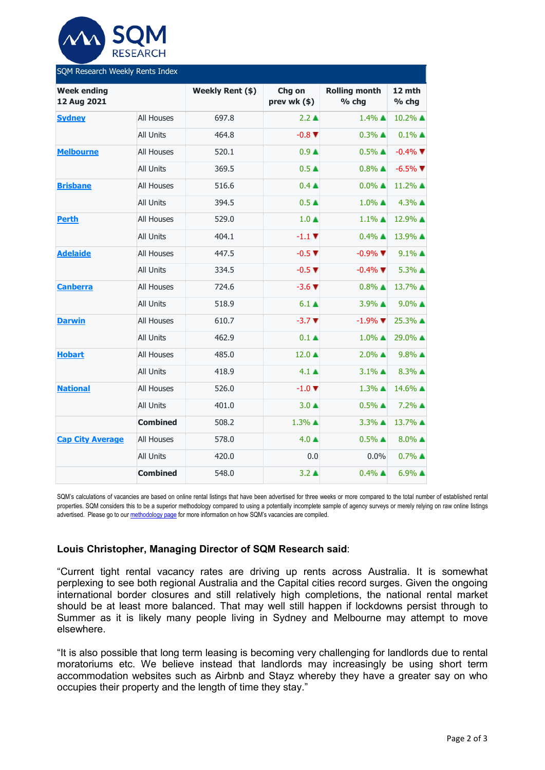

| SQM Research Weekly Rents Index   |                   |                  |                             |                               |                         |  |  |  |  |
|-----------------------------------|-------------------|------------------|-----------------------------|-------------------------------|-------------------------|--|--|--|--|
| <b>Week ending</b><br>12 Aug 2021 |                   | Weekly Rent (\$) | Chg on<br>prev wk (\$)      | <b>Rolling month</b><br>% chg | 12 mth<br>% chg         |  |  |  |  |
| <b>Sydney</b>                     | <b>All Houses</b> | 697.8            | $2.2 \triangle$             | $1.4\%$ $\triangle$           | 10.2% ▲                 |  |  |  |  |
|                                   | <b>All Units</b>  | 464.8            | $-0.8$ $\blacktriangledown$ | $0.3\%$ $\triangle$           | $0.1\%$ $\triangle$     |  |  |  |  |
| <b>Melbourne</b>                  | <b>All Houses</b> | 520.1            | 0.9 <sub>A</sub>            | $0.5\%$ $\triangle$           | $-0.4\%$ $\blacksquare$ |  |  |  |  |
|                                   | All Units         | 369.5            | 0.5 <sub>A</sub>            | $0.8\%$ $\triangle$           | $-6.5\%$ $\blacksquare$ |  |  |  |  |
| <b>Brisbane</b>                   | All Houses        | 516.6            | $0.4 \triangle$             | $0.0\%$ $\blacktriangle$      | 11.2% ▲                 |  |  |  |  |
|                                   | <b>All Units</b>  | 394.5            | $0.5 \triangle$             | $1.0\%$ $\triangle$           | 4.3% ▲                  |  |  |  |  |
| <b>Perth</b>                      | All Houses        | 529.0            | $1.0 \triangle$             | $1.1\%$ $\triangle$           | 12.9% ▲                 |  |  |  |  |
|                                   | <b>All Units</b>  | 404.1            | $-1.1$ V                    | $0.4\%$ $\triangle$           | 13.9% ▲                 |  |  |  |  |
| <b>Adelaide</b>                   | All Houses        | 447.5            | $-0.5$ $\blacktriangledown$ | $-0.9\%$ $\blacktriangledown$ | $9.1\%$ $\triangle$     |  |  |  |  |
|                                   | <b>All Units</b>  | 334.5            | $-0.5$ $\blacktriangledown$ | $-0.4\%$ $\nabla$             | 5.3% ▲                  |  |  |  |  |
| <b>Canberra</b>                   | <b>All Houses</b> | 724.6            | $-3.6$ $\blacktriangledown$ | $0.8\%$ $\triangle$           | 13.7% ▲                 |  |  |  |  |
|                                   | All Units         | 518.9            | $6.1 \triangleq$            | 3.9% ▲                        | $9.0\%$ $\triangle$     |  |  |  |  |
| <b>Darwin</b>                     | All Houses        | 610.7            | $-3.7$ $\blacktriangledown$ | $-1.9\%$ $\blacksquare$       | 25.3% ▲                 |  |  |  |  |
|                                   | <b>All Units</b>  | 462.9            | $0.1 \triangleq$            | $1.0\%$ $\triangle$           | 29.0% ▲                 |  |  |  |  |
| <b>Hobart</b>                     | All Houses        | 485.0            | $12.0 \triangle$            | $2.0\%$ $\triangle$           | $9.8\%$ $\triangle$     |  |  |  |  |
|                                   | <b>All Units</b>  | 418.9            | $4.1 \triangle$             | $3.1\%$ $\triangle$           | 8.3% ▲                  |  |  |  |  |
| <b>National</b>                   | All Houses        | 526.0            | $-1.0$ $\blacktriangledown$ | $1.3\%$ $\triangle$           | 14.6% ▲                 |  |  |  |  |
|                                   | <b>All Units</b>  | 401.0            | $3.0 \triangle$             | $0.5\%$ $\triangle$           | 7.2% ▲                  |  |  |  |  |
|                                   | <b>Combined</b>   | 508.2            | 1.3% ▲                      | 3.3% ▲                        | 13.7% ▲                 |  |  |  |  |
| <b>Cap City Average</b>           | All Houses        | 578.0            | $4.0 \triangle$             | $0.5\%$ $\triangle$           | $8.0\%$ $\triangle$     |  |  |  |  |
|                                   | <b>All Units</b>  | 420.0            | 0.0                         | 0.0%                          | $0.7\%$ $\triangle$     |  |  |  |  |
|                                   | <b>Combined</b>   | 548.0            | $3.2 \triangle$             | $0.4\%$ $\triangle$           | 6.9% ▲                  |  |  |  |  |

SQM's calculations of vacancies are based on online rental listings that have been advertised for three weeks or more compared to the total number of established rental properties. SQM considers this to be a superior methodology compared to using a potentially incomplete sample of agency surveys or merely relying on raw online listings advertised. Please go to ou[r methodology page](https://sqmresearch.com.au/pdfs/methodologydocumentrentsindex.pdf) for more information on how SQM's vacancies are compiled.

#### **Louis Christopher, Managing Director of SQM Research said**:

"Current tight rental vacancy rates are driving up rents across Australia. It is somewhat perplexing to see both regional Australia and the Capital cities record surges. Given the ongoing international border closures and still relatively high completions, the national rental market should be at least more balanced. That may well still happen if lockdowns persist through to Summer as it is likely many people living in Sydney and Melbourne may attempt to move elsewhere.

"It is also possible that long term leasing is becoming very challenging for landlords due to rental moratoriums etc. We believe instead that landlords may increasingly be using short term accommodation websites such as Airbnb and Stayz whereby they have a greater say on who occupies their property and the length of time they stay."